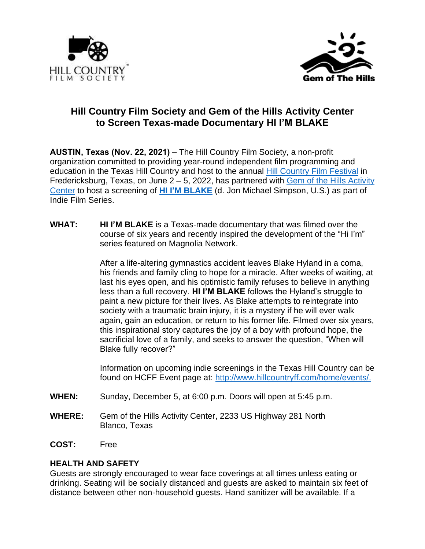



# **Hill Country Film Society and Gem of the Hills Activity Center to Screen Texas-made Documentary HI I'M BLAKE**

**AUSTIN, Texas (Nov. 22, 2021)** – The Hill Country Film Society, a non-profit organization committed to providing year-round independent film programming and education in the Texas Hill Country and host to the annual [Hill Country Film Festival](http://www.hillcountryff.com/) in Fredericksburg, Texas, on June 2 – 5, 2022, has partnered with [Gem of the Hills Activity](https://gemofthehills.org/)  [Center](https://gemofthehills.org/) to host a screening of **[HI I'M BLAKE](http://www.lookupandlookforward.com/)** (d. Jon Michael Simpson, U.S.) as part of Indie Film Series.

**WHAT: HI I'M BLAKE** is a Texas-made documentary that was filmed over the course of six years and recently inspired the development of the "Hi I'm" series featured on Magnolia Network.

> After a life-altering gymnastics accident leaves Blake Hyland in a coma, his friends and family cling to hope for a miracle. After weeks of waiting, at last his eyes open, and his optimistic family refuses to believe in anything less than a full recovery. **HI I'M BLAKE** follows the Hyland's struggle to paint a new picture for their lives. As Blake attempts to reintegrate into society with a traumatic brain injury, it is a mystery if he will ever walk again, gain an education, or return to his former life. Filmed over six years, this inspirational story captures the joy of a boy with profound hope, the sacrificial love of a family, and seeks to answer the question, "When will Blake fully recover?"

> Information on upcoming indie screenings in the Texas Hill Country can be found on HCFF Event page at: [http://www.hillcountryff.com/home/events/.](http://www.hillcountryff.com/home/events/)

- **WHEN:** Sunday, December 5, at 6:00 p.m. Doors will open at 5:45 p.m.
- **WHERE:** Gem of the Hills Activity Center, 2233 US Highway 281 North Blanco, Texas
- **COST:** Free

# **HEALTH AND SAFETY**

Guests are strongly encouraged to wear face coverings at all times unless eating or drinking. Seating will be socially distanced and guests are asked to maintain six feet of distance between other non-household guests. Hand sanitizer will be available. If a